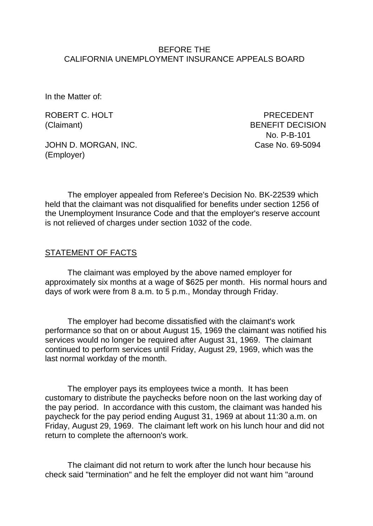#### BEFORE THE CALIFORNIA UNEMPLOYMENT INSURANCE APPEALS BOARD

In the Matter of:

ROBERT C. HOLT PRECEDENT

(Claimant) BENEFIT DECISION No. P-B-101

JOHN D. MORGAN, INC. Case No. 69-5094 (Employer)

The employer appealed from Referee's Decision No. BK-22539 which held that the claimant was not disqualified for benefits under section 1256 of the Unemployment Insurance Code and that the employer's reserve account is not relieved of charges under section 1032 of the code.

#### STATEMENT OF FACTS

The claimant was employed by the above named employer for approximately six months at a wage of \$625 per month. His normal hours and days of work were from 8 a.m. to 5 p.m., Monday through Friday.

The employer had become dissatisfied with the claimant's work performance so that on or about August 15, 1969 the claimant was notified his services would no longer be required after August 31, 1969. The claimant continued to perform services until Friday, August 29, 1969, which was the last normal workday of the month.

The employer pays its employees twice a month. It has been customary to distribute the paychecks before noon on the last working day of the pay period. In accordance with this custom, the claimant was handed his paycheck for the pay period ending August 31, 1969 at about 11:30 a.m. on Friday, August 29, 1969. The claimant left work on his lunch hour and did not return to complete the afternoon's work.

The claimant did not return to work after the lunch hour because his check said "termination" and he felt the employer did not want him "around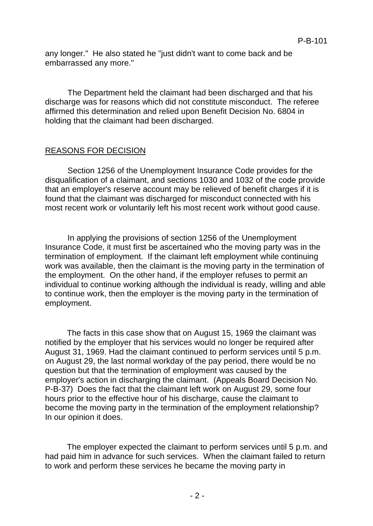any longer." He also stated he "just didn't want to come back and be embarrassed any more."

The Department held the claimant had been discharged and that his discharge was for reasons which did not constitute misconduct. The referee affirmed this determination and relied upon Benefit Decision No. 6804 in holding that the claimant had been discharged.

# REASONS FOR DECISION

Section 1256 of the Unemployment Insurance Code provides for the disqualification of a claimant, and sections 1030 and 1032 of the code provide that an employer's reserve account may be relieved of benefit charges if it is found that the claimant was discharged for misconduct connected with his most recent work or voluntarily left his most recent work without good cause.

In applying the provisions of section 1256 of the Unemployment Insurance Code, it must first be ascertained who the moving party was in the termination of employment. If the claimant left employment while continuing work was available, then the claimant is the moving party in the termination of the employment. On the other hand, if the employer refuses to permit an individual to continue working although the individual is ready, willing and able to continue work, then the employer is the moving party in the termination of employment.

The facts in this case show that on August 15, 1969 the claimant was notified by the employer that his services would no longer be required after August 31, 1969. Had the claimant continued to perform services until 5 p.m. on August 29, the last normal workday of the pay period, there would be no question but that the termination of employment was caused by the employer's action in discharging the claimant. (Appeals Board Decision No. P-B-37) Does the fact that the claimant left work on August 29, some four hours prior to the effective hour of his discharge, cause the claimant to become the moving party in the termination of the employment relationship? In our opinion it does.

The employer expected the claimant to perform services until 5 p.m. and had paid him in advance for such services. When the claimant failed to return to work and perform these services he became the moving party in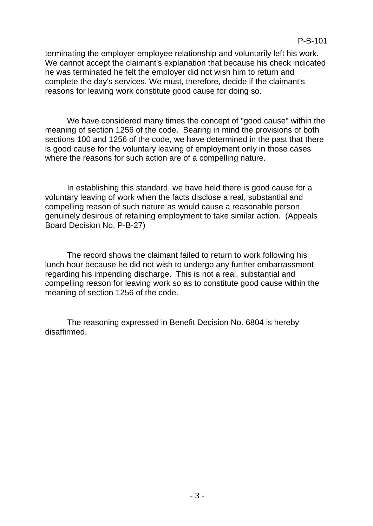terminating the employer-employee relationship and voluntarily left his work. We cannot accept the claimant's explanation that because his check indicated he was terminated he felt the employer did not wish him to return and complete the day's services. We must, therefore, decide if the claimant's reasons for leaving work constitute good cause for doing so.

We have considered many times the concept of "good cause" within the meaning of section 1256 of the code. Bearing in mind the provisions of both sections 100 and 1256 of the code, we have determined in the past that there is good cause for the voluntary leaving of employment only in those cases where the reasons for such action are of a compelling nature.

In establishing this standard, we have held there is good cause for a voluntary leaving of work when the facts disclose a real, substantial and compelling reason of such nature as would cause a reasonable person genuinely desirous of retaining employment to take similar action. (Appeals Board Decision No. P-B-27)

The record shows the claimant failed to return to work following his lunch hour because he did not wish to undergo any further embarrassment regarding his impending discharge. This is not a real, substantial and compelling reason for leaving work so as to constitute good cause within the meaning of section 1256 of the code.

The reasoning expressed in Benefit Decision No. 6804 is hereby disaffirmed.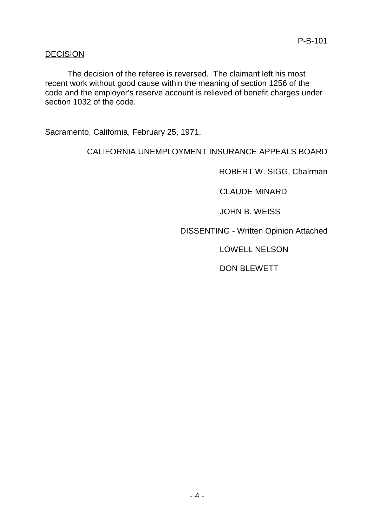# **DECISION**

The decision of the referee is reversed. The claimant left his most recent work without good cause within the meaning of section 1256 of the code and the employer's reserve account is relieved of benefit charges under section 1032 of the code.

Sacramento, California, February 25, 1971.

CALIFORNIA UNEMPLOYMENT INSURANCE APPEALS BOARD

ROBERT W. SIGG, Chairman

CLAUDE MINARD

JOHN B. WEISS

DISSENTING - Written Opinion Attached

LOWELL NELSON

DON BLEWETT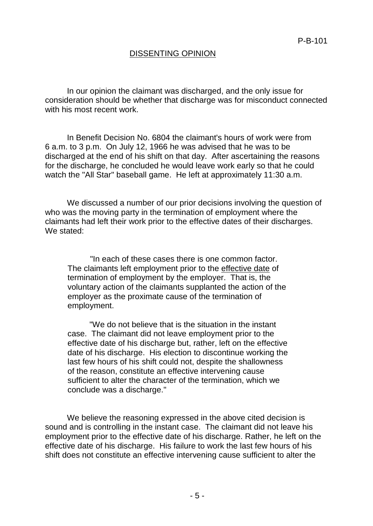### DISSENTING OPINION

In our opinion the claimant was discharged, and the only issue for consideration should be whether that discharge was for misconduct connected with his most recent work.

In Benefit Decision No. 6804 the claimant's hours of work were from 6 a.m. to 3 p.m. On July 12, 1966 he was advised that he was to be discharged at the end of his shift on that day. After ascertaining the reasons for the discharge, he concluded he would leave work early so that he could watch the "All Star" baseball game. He left at approximately 11:30 a.m.

We discussed a number of our prior decisions involving the question of who was the moving party in the termination of employment where the claimants had left their work prior to the effective dates of their discharges. We stated:

"In each of these cases there is one common factor. The claimants left employment prior to the effective date of termination of employment by the employer. That is, the voluntary action of the claimants supplanted the action of the employer as the proximate cause of the termination of employment.

"We do not believe that is the situation in the instant case. The claimant did not leave employment prior to the effective date of his discharge but, rather, left on the effective date of his discharge. His election to discontinue working the last few hours of his shift could not, despite the shallowness of the reason, constitute an effective intervening cause sufficient to alter the character of the termination, which we conclude was a discharge."

We believe the reasoning expressed in the above cited decision is sound and is controlling in the instant case. The claimant did not leave his employment prior to the effective date of his discharge. Rather, he left on the effective date of his discharge. His failure to work the last few hours of his shift does not constitute an effective intervening cause sufficient to alter the